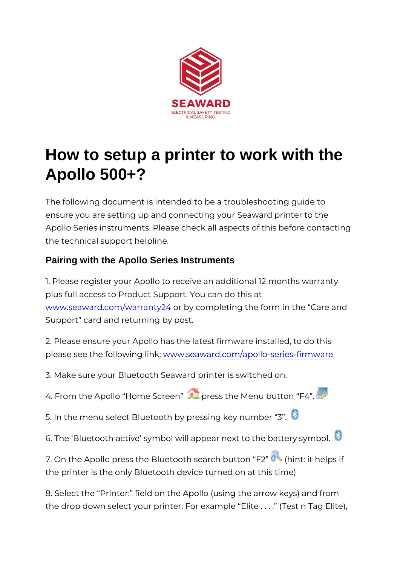## How to setup a printer to work with the Apollo 500+?

The following document is intended to be a troubleshooting g ensure you are setting up and connecting your Seaward printe Apollo Series instruments. Please check all aspects of this b the technical support helpline.

Pairing with the Apollo Series Instruments

1. Please register your Apollo to receive an additional 12 mo plus full access to Product Support. You can do this at [www.seaward.com/war](/warranty24)rantby  $24$  completing the form in the Care Support card and returning by post.

2. Please ensure your Apollo has the latest firmware installed please see the followwiw gy .ls a kaward.com/apollo-series-firm ware

3. Make sure your Bluetooth Seaward printer is switched on.

4. From the Apollo Home Spress the Menu button F4.

5. In the menu select Bluetooth by pressing key number 3 .

6. The Bluetooth active symbol will appear next to the batte

7. On the Apollo press the Bluetooth seard hibut tion he Figs if the printer is the only Bluetooth device turned on at this time)

8. Select the Printer: field on the Apollo (using the arrow k the drop down select your printer. For example Elite . . . .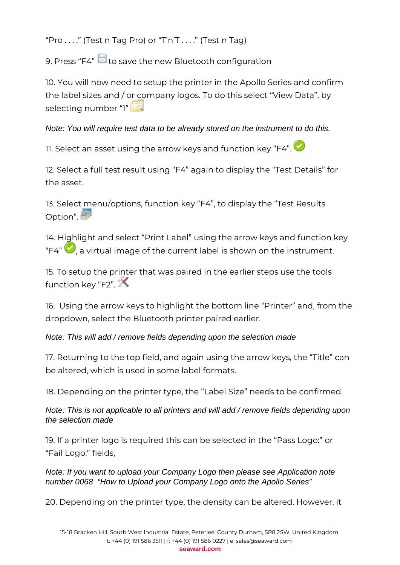"Pro  $\dots$ ." (Test n Tag Pro) or "T'n'T  $\dots$ ." (Test n Tag)

9. Press "F4" to save the new Bluetooth configuration

10. You will now need to setup the printer in the Apollo Series and confirm the label sizes and / or company logos. To do this select "View Data", by selecting number "1"

## Note: You will require test data to be already stored on the instrument to do this.

11. Select an asset using the arrow keys and function key "F4".  $\bullet$ 

12. Select a full test result using "F4" again to display the "Test Details" for the asset.

13. Select menu/options, function key "F4", to display the "Test Results Option".

14. Highlight and select "Print Label" using the arrow keys and function key "F4"  $\bigcirc$  a virtual image of the current label is shown on the instrument.

15. To setup the printer that was paired in the earlier steps use the tools function key "F2".

16. Using the arrow keys to highlight the bottom line "Printer" and, from the dropdown, select the Bluetooth printer paired earlier.

Note: This will add / remove fields depending upon the selection made

17. Returning to the top field, and again using the arrow keys, the "Title" can be altered, which is used in some label formats.

18. Depending on the printer type, the "Label Size" needs to be confirmed.

Note: This is not applicable to all printers and will add / remove fields depending upon the selection made

19. If a printer logo is required this can be selected in the "Pass Logo:" or "Fail Logo:" fields,

Note: If you want to upload your Company Logo then please see Application note number 0068 "How to Upload your Company Logo onto the Apollo Series"

20. Depending on the printer type, the density can be altered. However, it